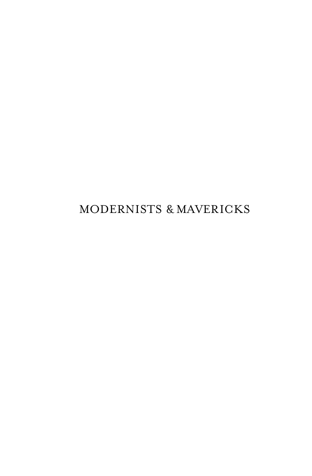## MODERNISTS & MAVERICKS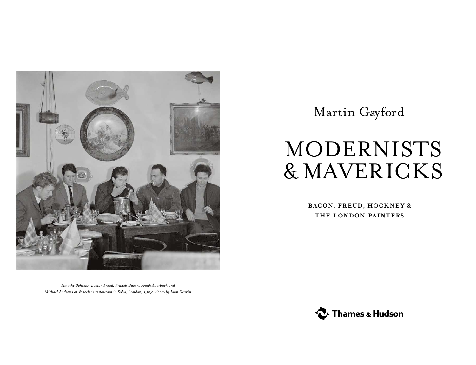

Martin Gayford

# MODERNISTS & MAVERICKS

**BACON, FREUD, HOCKNEY & THE LONDON PAINTERS**

*Timothy Behrens, Lucian Freud, Francis Bacon, Frank Auerbach and Michael Andrews at Wheeler's restaurant in Soho, London, 1963. Photo by John Deakin*

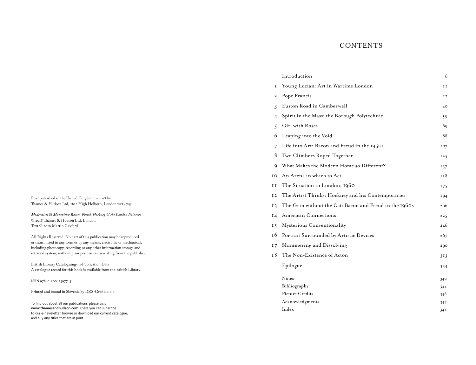### **CONTENTS**

|                  | Introduction                                           | 6               |
|------------------|--------------------------------------------------------|-----------------|
| 1                | Young Lucian: Art in Wartime London                    | II              |
| $\boldsymbol{2}$ | Pope Francis                                           | 22              |
| 3                | Euston Road in Camberwell                              | 40              |
| $\overline{4}$   | Spirit in the Mass: the Borough Polytechnic            | 59              |
| 5                | Girl with Roses                                        | 69              |
| 6                | Leaping into the Void                                  | 88              |
| $\overline{7}$   | Life into Art: Bacon and Freud in the 1950s            | IO7             |
| 8                | Two Climbers Roped Together                            | 125             |
| 9                | What Makes the Modern Home so Different?               | 137             |
| ΙO               | An Arena in which to Act                               | 158             |
| $\rm I\ I$       | The Situation in London, 1960                          | 175             |
| I <sub>2</sub>   | The Artist Thinks: Hockney and his Contemporaries      | 194             |
| I <sub>3</sub>   | The Grin without the Cat: Bacon and Freud in the 1960s | 206             |
| $I_4$            | American Connections                                   | 225             |
| 15               | Mysterious Conventionality                             | 246             |
| 16               | Portrait Surrounded by Artistic Devices                | 267             |
| 17               | Shimmering and Dissolving                              | 290             |
| 18               | The Non-Existence of Acton                             | 3 <sub>13</sub> |
|                  | Epilogue                                               | 334             |
|                  |                                                        |                 |
|                  | Notes                                                  | 340             |
|                  | Bibliography                                           | 344             |
|                  | Picture Credits                                        | 346             |
|                  | Acknowledgments                                        | 347             |
|                  | Index                                                  | 348             |

First published in the United Kingdom in 2018 by Thames & Hudson Ltd, 181A High Holborn, London WC1V 7QX

*Modernists & Mavericks: Bacon, Freud, Hockney & the London Painters* © 2018 Thames & Hudson Ltd, London Text © 2018 Martin Gayford

All Rights Reserved. No part of this publication may be reproduced or transmitted in any form or by any means, electronic or mechanical, including photocopy, recording or any other information storage and retrieval system, without prior permission in writing from the publisher.

British Library Cataloguing-in-Publication Data A catalogue record for this book is available from the British Library

ISBN 978-0-500-23977-3

Printed and bound in Slovenia by DZS-Grafik d.o.o.

To find out about all our publications, please visit **www.thamesandhudson.com**. There you can subscribe to our e-newsletter, browse or download our current catalogue, and buy any titles that are in print.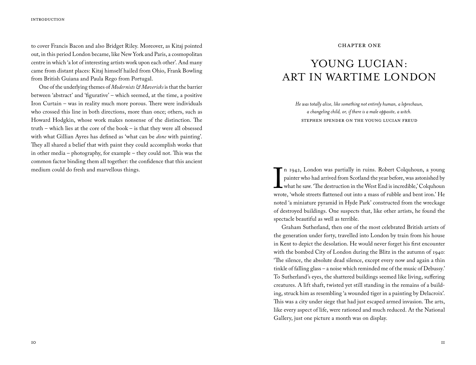to cover Francis Bacon and also Bridget Riley. Moreover, as Kitaj pointed out, in this period London became, like New York and Paris, a cosmopolitan centre in which 'a lot of interesting artists work upon each other'. And many came from distant places: Kitaj himself hailed from Ohio, Frank Bowling from British Guiana and Paula Rego from Portugal.

One of the underlying themes of *Modernists & Mavericks* is that the barrier between 'abstract' and 'figurative' – which seemed, at the time, a positive Iron Curtain – was in reality much more porous. There were individuals who crossed this line in both directions, more than once; others, such as Howard Hodgkin, whose work makes nonsense of the distinction. The truth – which lies at the core of the book – is that they were all obsessed with what Gillian Ayres has defined as 'what can be *done* with painting'. They all shared a belief that with paint they could accomplish works that in other media – photography, for example – they could not. This was the common factor binding them all together: the confidence that this ancient medium could do fresh and marvellous things.

#### Chapter one

## YOUNG LUCIAN: ART IN WARTIME LONDON

*He was totally alive, like something not entirely human, a leprechaun, a changeling child, or, if there is a male opposite, a witch.* Stephen Spender on the young Lucian Freud

n 1942, London was partially in ruins. Robert Colquhoun, a young painter who had arrived from Scotland the year before, was astonished by what he saw. The destruction in the West End is incredible,' Colquhoun wrote, 'whole streets flattened out into a mass of rubble and bent iron.' He noted 'a miniature pyramid in Hyde Park' constructed from the wreckage of destroyed buildings. One suspects that, like other artists, he found the spectacle beautiful as well as terrible.

Graham Sutherland, then one of the most celebrated British artists of the generation under forty, travelled into London by train from his house in Kent to depict the desolation. He would never forget his first encounter with the bombed City of London during the Blitz in the autumn of 1940: 'The silence, the absolute dead silence, except every now and again a thin tinkle of falling glass – a noise which reminded me of the music of Debussy.' To Sutherland's eyes, the shattered buildings seemed like living, suffering creatures. A lift shaft, twisted yet still standing in the remains of a building, struck him as resembling 'a wounded tiger in a painting by Delacroix'. This was a city under siege that had just escaped armed invasion. The arts, like every aspect of life, were rationed and much reduced. At the National Gallery, just one picture a month was on display.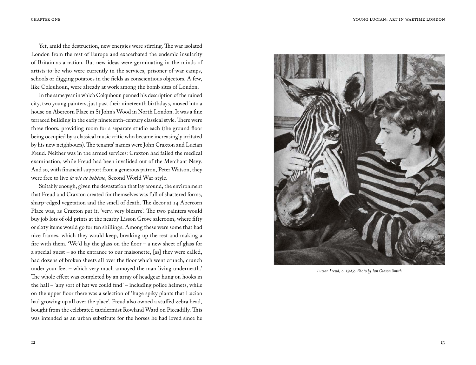Yet, amid the destruction, new energies were stirring. The war isolated London from the rest of Europe and exacerbated the endemic insularity of Britain as a nation. But new ideas were germinating in the minds of artists-to-be who were currently in the services, prisoner-of-war camps, schools or digging potatoes in the fields as conscientious objectors. A few, like Colquhoun, were already at work among the bomb sites of London.

In the same year in which Colquhoun penned his description of the ruined city, two young painters, just past their nineteenth birthdays, moved into a house on Abercorn Place in St John's Wood in North London. It was a fine terraced building in the early nineteenth-century classical style. There were three floors, providing room for a separate studio each (the ground floor being occupied by a classical music critic who became increasingly irritated by his new neighbours). The tenants' names were John Craxton and Lucian Freud. Neither was in the armed services: Craxton had failed the medical examination, while Freud had been invalided out of the Merchant Navy. And so, with financial support from a generous patron, Peter Watson, they were free to live *la vie de bohème*, Second World War-style.

Suitably enough, given the devastation that lay around, the environment that Freud and Craxton created for themselves was full of shattered forms, sharp-edged vegetation and the smell of death. The decor at 14 Abercorn Place was, as Craxton put it, 'very, very bizarre'. The two painters would buy job lots of old prints at the nearby Lisson Grove saleroom, where fifty or sixty items would go for ten shillings. Among these were some that had nice frames, which they would keep, breaking up the rest and making a fire with them. 'We'd lay the glass on the floor – a new sheet of glass for a special guest – so the entrance to our maisonette, [as] they were called, had dozens of broken sheets all over the floor which went crunch, crunch under your feet – which very much annoyed the man living underneath.' The whole effect was completed by an array of headgear hung on hooks in the hall – 'any sort of hat we could find' – including police helmets, while on the upper floor there was a selection of 'huge spiky plants that Lucian had growing up all over the place'. Freud also owned a stuffed zebra head, bought from the celebrated taxidermist Rowland Ward on Piccadilly. This was intended as an urban substitute for the horses he had loved since he



*Lucian Freud, c*. *1943. Photo by Ian Gibson Smith*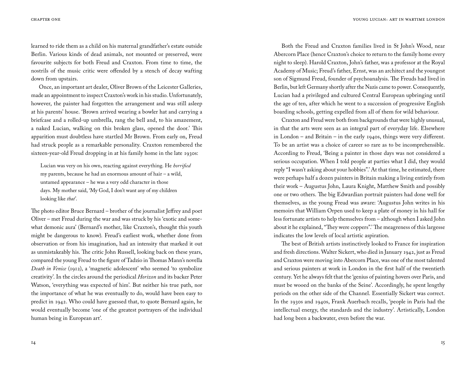learned to ride them as a child on his maternal grandfather's estate outside Berlin. Various kinds of dead animals, not mounted or preserved, were favourite subjects for both Freud and Craxton. From time to time, the nostrils of the music critic were offended by a stench of decay wafting down from upstairs.

Once, an important art dealer, Oliver Brown of the Leicester Galleries, made an appointment to inspect Craxton's work in his studio. Unfortunately, however, the painter had forgotten the arrangement and was still asleep at his parents' house. 'Brown arrived wearing a bowler hat and carrying a briefcase and a rolled-up umbrella, rang the bell and, to his amazement, a naked Lucian, walking on this broken glass, opened the door.' This apparition must doubtless have startled Mr Brown. From early on, Freud had struck people as a remarkable personality. Craxton remembered the sixteen-year-old Freud dropping in at his family home in the late 1930s:

Lucian was very on his own, reacting against everything. He *horrified* my parents, because he had an enormous amount of hair – a wild, untamed appearance – he was a very odd character in those days. My mother said, 'My God, I don't want any of my children looking like *that*'.

The photo editor Bruce Bernard – brother of the journalist Jeffrey and poet Oliver – met Freud during the war and was struck by his 'exotic and somewhat demonic aura' (Bernard's mother, like Craxton's, thought this youth might be dangerous to know). Freud's earliest work, whether done from observation or from his imagination, had an intensity that marked it out as unmistakeably his. The critic John Russell, looking back on these years, compared the young Freud to the figure of Tadzio in Thomas Mann's novella *Death in Venice* (1912), a 'magnetic adolescent' who seemed 'to symbolize creativity'. In the circles around the periodical *Horizon* and its backer Peter Watson, 'everything was expected of him'. But neither his true path, nor the importance of what he was eventually to do, would have been easy to predict in 1942. Who could have guessed that, to quote Bernard again, he would eventually become 'one of the greatest portrayers of the individual human being in European art'.

Both the Freud and Craxton families lived in St John's Wood, near Abercorn Place (hence Craxton's choice to return to the family home every night to sleep). Harold Craxton, John's father, was a professor at the Royal Academy of Music; Freud's father, Ernst, was an architect and the youngest son of Sigmund Freud, founder of psychoanalysis. The Freuds had lived in Berlin, but left Germany shortly after the Nazis came to power. Consequently, Lucian had a privileged and cultured Central European upbringing until the age of ten, after which he went to a succession of progressive English boarding schools, getting expelled from all of them for wild behaviour.

Craxton and Freud were both from backgrounds that were highly unusual, in that the arts were seen as an integral part of everyday life. Elsewhere in London – and Britain – in the early 1940s, things were very different. To be an artist was a choice of career so rare as to be incomprehensible. According to Freud, 'Being a painter in those days was not considered a serious occupation. When I told people at parties what I did, they would reply "I wasn't asking about your hobbies".' At that time, he estimated, there were perhaps half a dozen painters in Britain making a living entirely from their work – Augustus John, Laura Knight, Matthew Smith and possibly one or two others. The big Edwardian portrait painters had done well for themselves, as the young Freud was aware: 'Augustus John writes in his memoirs that William Orpen used to keep a plate of money in his hall for less fortunate artists to help themselves from – although when I asked John about it he explained, "They were coppers".' The meagreness of this largesse indicates the low levels of local artistic aspiration.

The best of British artists instinctively looked to France for inspiration and fresh directions. Walter Sickert, who died in January 1942, just as Freud and Craxton were moving into Abercorn Place, was one of the most talented and serious painters at work in London in the first half of the twentieth century. Yet he always felt that the 'genius of painting hovers over Paris, and must be wooed on the banks of the Seine'. Accordingly, he spent lengthy periods on the other side of the Channel. Essentially Sickert was correct. In the 1930s and 1940s, Frank Auerbach recalls, 'people in Paris had the intellectual energy, the standards and the industry'. Artistically, London had long been a backwater, even before the war.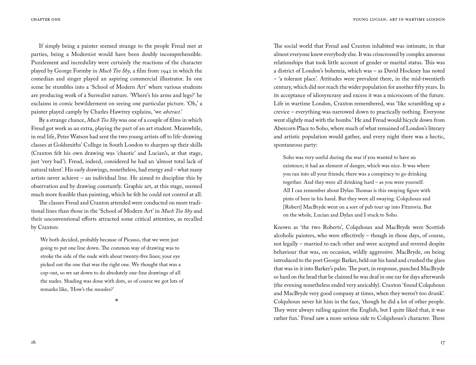If simply being a painter seemed strange to the people Freud met at parties, being a Modernist would have been doubly incomprehensible. Puzzlement and incredulity were certainly the reactions of the character played by George Formby in *Much Too Shy,* a film from 1942 in which the comedian and singer played an aspiring commercial illustrator. In one scene he stumbles into a 'School of Modern Art' where various students are producing work of a Surrealist nature. 'Where's his arms and legs?' he exclaims in comic bewilderment on seeing one particular picture. 'Oh,' a painter played camply by Charles Hawtrey explains, 'we *abstract*.'

By a strange chance, *Much Too Shy* was one of a couple of films in which Freud got work as an extra, playing the part of an art student. Meanwhile, in real life, Peter Watson had sent the two young artists off to life-drawing classes at Goldsmiths' College in South London to sharpen up their skills (Craxton felt his own drawing was 'chaotic' and Lucian's, at that stage, just 'very bad'). Freud, indeed, considered he had an 'almost total lack of natural talent'. His early drawings, nonetheless, had energy and – what many artists never achieve – an individual line. He aimed to discipline this by observation and by drawing constantly. Graphic art, at this stage, seemed much more feasible than painting, which he felt he could not control at all.

The classes Freud and Craxton attended were conducted on more traditional lines than those in the 'School of Modern Art' in *Much Too Shy* and their unconventional efforts attracted some critical attention, as recalled by Craxton:

We both decided, probably because of Picasso, that we were just going to put one line down. The common way of drawing was to stroke the side of the nude with about twenty-five lines; your eye picked out the one that was the right one. We thought that was a cop-out, so we sat down to do absolutely one-line drawings of all the nudes. Shading was done with dots, so of course we got lots of remarks like, 'How's the measles?'

\*

The social world that Freud and Craxton inhabited was intimate, in that almost everyone knew everybody else. It was crisscrossed by complex amorous relationships that took little account of gender or marital status. This was a district of London's bohemia, which was – as David Hockney has noted – 'a tolerant place'. Attitudes were prevalent there, in the mid-twentieth century, which did not reach the wider population for another fifty years. In its acceptance of idiosyncrasy and excess it was a microcosm of the future. Life in wartime London, Craxton remembered, was 'like scrambling up a crevice – everything was narrowed down to practically nothing. Everyone went slightly mad with the bombs.' He and Freud would bicycle down from Abercorn Place to Soho, where much of what remained of London's literary and artistic population would gather, and every night there was a hectic, spontaneous party:

Soho was very useful during the war if you wanted to have an existence; it had an element of danger, which was nice. It was where you ran into all your friends; there was a conspiracy to go drinking together. And they were all drinking hard – as you were yourself. All I can remember about Dylan Thomas is this swaying figure with pints of beer in his hand. But they were all swaying. Colquhoun and [Robert] MacBryde went on a sort of pub tour up into Fitzrovia. But on the whole, Lucian and Dylan and I stuck to Soho.

Known as 'the two Roberts', Colquhoun and MacBryde were Scottish alcoholic painters, who were effectively – though in those days, of course, not legally – married to each other and were accepted and revered despite behaviour that was, on occasion, wildly aggressive. MacBryde, on being introduced to the poet George Barker, held out his hand and crushed the glass that was in it into Barker's palm. The poet, in response, punched MacBryde so hard on the head that he claimed he was deaf in one ear for days afterwards (the evening nonetheless ended very amicably). Craxton 'found Colquhoun and MacBryde very good company at times, when they weren't too drunk'. Colquhoun never hit him in the face, 'though he did a lot of other people. They were always railing against the English, but I quite liked that, it was rather fun.' Freud saw a more serious side to Colquhoun's character. There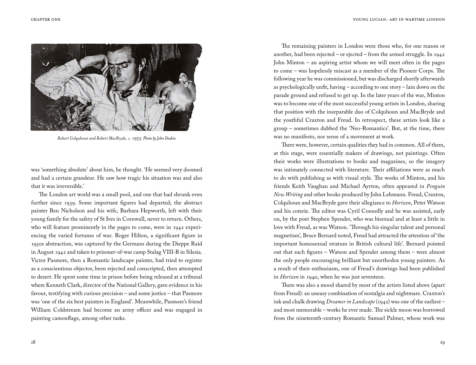

*Robert Colquhoun and Robert MacBryde, c*. *1953. Photo by John Deakin*

was 'something absolute' about him, he thought. 'He seemed very doomed and had a certain grandeur. He saw how tragic his situation was and also that it was irreversible.'

The London art world was a small pool, and one that had shrunk even further since 1939. Some important figures had departed; the abstract painter Ben Nicholson and his wife, Barbara Hepworth, left with their young family for the safety of St Ives in Cornwall, never to return. Others, who will feature prominently in the pages to come, were in 1942 experiencing the varied fortunes of war. Roger Hilton, a significant figure in 1950s abstraction, was captured by the Germans during the Dieppe Raid in August 1942 and taken to prisoner-of-war camp Stalag VIII-B in Silesia. Victor Pasmore, then a Romantic landscape painter, had tried to register as a conscientious objector, been rejected and conscripted, then attempted to desert. He spent some time in prison before being released at a tribunal where Kenneth Clark, director of the National Gallery, gave evidence in his favour, testifying with curious precision – and some justice – that Pasmore was 'one of the six best painters in England'. Meanwhile, Pasmore's friend William Coldstream had become an army officer and was engaged in painting camouflage, among other tasks.

The remaining painters in London were those who, for one reason or another, had been rejected – or ejected – from the armed struggle. In 1942 John Minton – an aspiring artist whom we will meet often in the pages to come – was hopelessly miscast as a member of the Pioneer Corps. The following year he was commissioned, but was discharged shortly afterwards as psychologically unfit, having – according to one story – lain down on the parade ground and refused to get up. In the later years of the war, Minton was to become one of the most successful young artists in London, sharing that position with the inseparable duo of Colquhoun and MacBryde and the youthful Craxton and Freud. In retrospect, these artists look like a group – sometimes dubbed the 'Neo-Romantics'. But, at the time, there was no manifesto, nor sense of a movement at work.

There were, however, certain qualities they had in common. All of them, at this stage, were essentially makers of drawings, not paintings. Often their works were illustrations to books and magazines, so the imagery was intimately connected with literature. Their affiliations were as much to do with publishing as with visual style. The works of Minton, and his friends Keith Vaughan and Michael Ayrton, often appeared in *Penguin New Writing* and other books produced by John Lehmann. Freud, Craxton, Colquhoun and MacBryde gave their allegiance to *Horizon*, Peter Watson and his coterie. The editor was Cyril Connolly and he was assisted, early on, by the poet Stephen Spender, who was bisexual and at least a little in love with Freud, as was Watson. 'Through his singular talent and personal magnetism', Bruce Bernard noted, Freud had attracted the attention of 'the important homosexual stratum in British cultural life'. Bernard pointed out that such figures – Watson and Spender among them – were almost the only people encouraging brilliant but unorthodox young painters. As a result of their enthusiasm, one of Freud's drawings had been published in *Horizon* in 1940, when he was just seventeen.

There was also a mood shared by most of the artists listed above (apart from Freud): an uneasy combination of nostalgia and nightmare. Craxton's ink and chalk drawing *Dreamer in Landscape* (1942) was one of the earliest – and most memorable – works he ever made. The sickle moon was borrowed from the nineteenth-century Romantic Samuel Palmer, whose work was